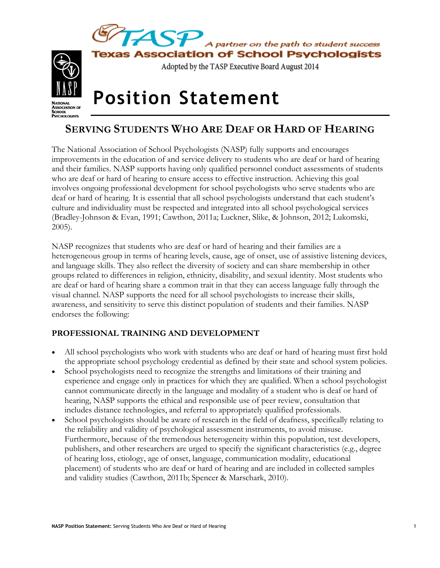

# **SERVING STUDENTS WHO ARE DEAF OR HARD OF HEARING**

The National Association of School Psychologists (NASP) fully supports and encourages improvements in the education of and service delivery to students who are deaf or hard of hearing and their families. NASP supports having only qualified personnel conduct assessments of students who are deaf or hard of hearing to ensure access to effective instruction. Achieving this goal involves ongoing professional development for school psychologists who serve students who are deaf or hard of hearing. It is essential that all school psychologists understand that each student's culture and individuality must be respected and integrated into all school psychological services (Bradley-Johnson & Evan, 1991; Cawthon, 2011a; Luckner, Slike, & Johnson, 2012; Lukomski, 2005).

NASP recognizes that students who are deaf or hard of hearing and their families are a heterogeneous group in terms of hearing levels, cause, age of onset, use of assistive listening devices, and language skills. They also reflect the diversity of society and can share membership in other groups related to differences in religion, ethnicity, disability, and sexual identity. Most students who are deaf or hard of hearing share a common trait in that they can access language fully through the visual channel. NASP supports the need for all school psychologists to increase their skills, awareness, and sensitivity to serve this distinct population of students and their families. NASP endorses the following:

# **PROFESSIONAL TRAINING AND DEVELOPMENT**

**PSYCHOLOGISTS** 

- All school psychologists who work with students who are deaf or hard of hearing must first hold the appropriate school psychology credential as defined by their state and school system policies.
- School psychologists need to recognize the strengths and limitations of their training and experience and engage only in practices for which they are qualified. When a school psychologist cannot communicate directly in the language and modality of a student who is deaf or hard of hearing, NASP supports the ethical and responsible use of peer review, consultation that includes distance technologies, and referral to appropriately qualified professionals.
- School psychologists should be aware of research in the field of deafness, specifically relating to the reliability and validity of psychological assessment instruments, to avoid misuse. Furthermore, because of the tremendous heterogeneity within this population, test developers, publishers, and other researchers are urged to specify the significant characteristics (e.g., degree of hearing loss, etiology, age of onset, language, communication modality, educational placement) of students who are deaf or hard of hearing and are included in collected samples and validity studies (Cawthon, 2011b; Spencer & Marschark, 2010).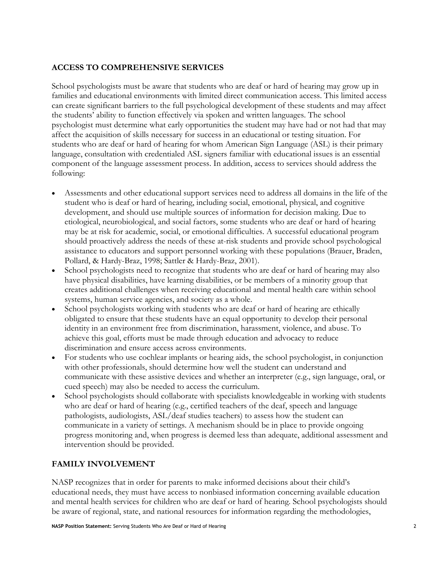## **ACCESS TO COMPREHENSIVE SERVICES**

School psychologists must be aware that students who are deaf or hard of hearing may grow up in families and educational environments with limited direct communication access. This limited access can create significant barriers to the full psychological development of these students and may affect the students' ability to function effectively via spoken and written languages. The school psychologist must determine what early opportunities the student may have had or not had that may affect the acquisition of skills necessary for success in an educational or testing situation. For students who are deaf or hard of hearing for whom American Sign Language (ASL) is their primary language, consultation with credentialed ASL signers familiar with educational issues is an essential component of the language assessment process. In addition, access to services should address the following:

- Assessments and other educational support services need to address all domains in the life of the student who is deaf or hard of hearing, including social, emotional, physical, and cognitive development, and should use multiple sources of information for decision making. Due to etiological, neurobiological, and social factors, some students who are deaf or hard of hearing may be at risk for academic, social, or emotional difficulties. A successful educational program should proactively address the needs of these at-risk students and provide school psychological assistance to educators and support personnel working with these populations (Brauer, Braden, Pollard, & Hardy-Braz, 1998; Sattler & Hardy-Braz, 2001).
- School psychologists need to recognize that students who are deaf or hard of hearing may also have physical disabilities, have learning disabilities, or be members of a minority group that creates additional challenges when receiving educational and mental health care within school systems, human service agencies, and society as a whole.
- School psychologists working with students who are deaf or hard of hearing are ethically obligated to ensure that these students have an equal opportunity to develop their personal identity in an environment free from discrimination, harassment, violence, and abuse. To achieve this goal, efforts must be made through education and advocacy to reduce discrimination and ensure access across environments.
- For students who use cochlear implants or hearing aids, the school psychologist, in conjunction with other professionals, should determine how well the student can understand and communicate with these assistive devices and whether an interpreter (e.g., sign language, oral, or cued speech) may also be needed to access the curriculum.
- School psychologists should collaborate with specialists knowledgeable in working with students who are deaf or hard of hearing (e.g., certified teachers of the deaf, speech and language pathologists, audiologists, ASL/deaf studies teachers) to assess how the student can communicate in a variety of settings. A mechanism should be in place to provide ongoing progress monitoring and, when progress is deemed less than adequate, additional assessment and intervention should be provided.

# **FAMILY INVOLVEMENT**

NASP recognizes that in order for parents to make informed decisions about their child's educational needs, they must have access to nonbiased information concerning available education and mental health services for children who are deaf or hard of hearing. School psychologists should be aware of regional, state, and national resources for information regarding the methodologies,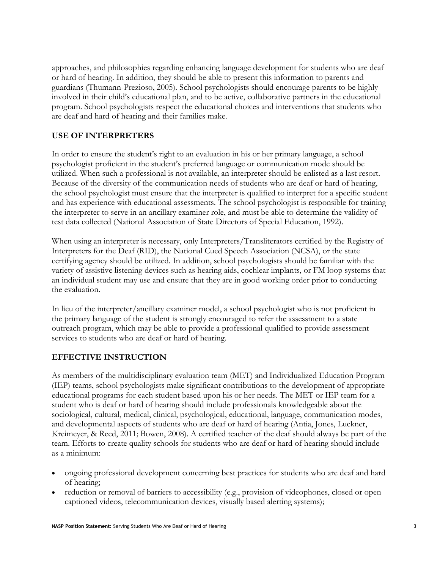approaches, and philosophies regarding enhancing language development for students who are deaf or hard of hearing. In addition, they should be able to present this information to parents and guardians (Thumann-Prezioso, 2005). School psychologists should encourage parents to be highly involved in their child's educational plan, and to be active, collaborative partners in the educational program. School psychologists respect the educational choices and interventions that students who are deaf and hard of hearing and their families make.

### **USE OF INTERPRETERS**

In order to ensure the student's right to an evaluation in his or her primary language, a school psychologist proficient in the student's preferred language or communication mode should be utilized. When such a professional is not available, an interpreter should be enlisted as a last resort. Because of the diversity of the communication needs of students who are deaf or hard of hearing, the school psychologist must ensure that the interpreter is qualified to interpret for a specific student and has experience with educational assessments. The school psychologist is responsible for training the interpreter to serve in an ancillary examiner role, and must be able to determine the validity of test data collected (National Association of State Directors of Special Education, 1992).

When using an interpreter is necessary, only Interpreters/Transliterators certified by the Registry of Interpreters for the Deaf (RID), the National Cued Speech Association (NCSA), or the state certifying agency should be utilized. In addition, school psychologists should be familiar with the variety of assistive listening devices such as hearing aids, cochlear implants, or FM loop systems that an individual student may use and ensure that they are in good working order prior to conducting the evaluation.

In lieu of the interpreter/ancillary examiner model, a school psychologist who is not proficient in the primary language of the student is strongly encouraged to refer the assessment to a state outreach program, which may be able to provide a professional qualified to provide assessment services to students who are deaf or hard of hearing.

#### **EFFECTIVE INSTRUCTION**

As members of the multidisciplinary evaluation team (MET) and Individualized Education Program (IEP) teams, school psychologists make significant contributions to the development of appropriate educational programs for each student based upon his or her needs. The MET or IEP team for a student who is deaf or hard of hearing should include professionals knowledgeable about the sociological, cultural, medical, clinical, psychological, educational, language, communication modes, and developmental aspects of students who are deaf or hard of hearing (Antia, Jones, Luckner, Kreimeyer, & Reed, 2011; Bowen, 2008). A certified teacher of the deaf should always be part of the team. Efforts to create quality schools for students who are deaf or hard of hearing should include as a minimum:

- ongoing professional development concerning best practices for students who are deaf and hard of hearing;
- reduction or removal of barriers to accessibility (e.g., provision of videophones, closed or open captioned videos, telecommunication devices, visually based alerting systems);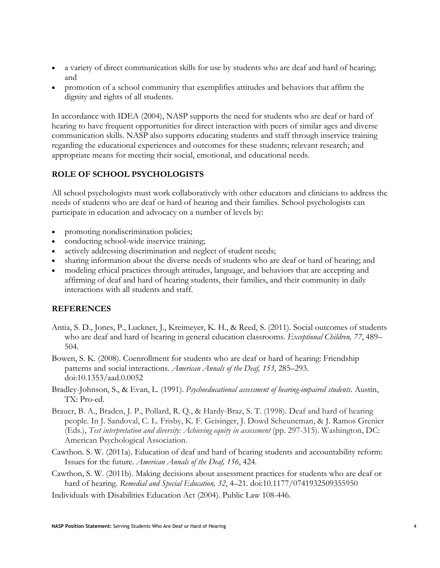- a variety of direct communication skills for use by students who are deaf and hard of hearing; and
- promotion of a school community that exemplifies attitudes and behaviors that affirm the dignity and rights of all students.

In accordance with IDEA (2004), NASP supports the need for students who are deaf or hard of hearing to have frequent opportunities for direct interaction with peers of similar ages and diverse communication skills. NASP also supports educating students and staff through inservice training regarding the educational experiences and outcomes for these students; relevant research; and appropriate means for meeting their social, emotional, and educational needs.

### **ROLE OF SCHOOL PSYCHOLOGISTS**

All school psychologists must work collaboratively with other educators and clinicians to address the needs of students who are deaf or hard of hearing and their families. School psychologists can participate in education and advocacy on a number of levels by:

- promoting nondiscrimination policies;
- conducting school-wide inservice training;
- actively addressing discrimination and neglect of student needs;
- sharing information about the diverse needs of students who are deaf or hard of hearing; and
- modeling ethical practices through attitudes, language, and behaviors that are accepting and affirming of deaf and hard of hearing students, their families, and their community in daily interactions with all students and staff.

#### **REFERENCES**

- Antia, S. D., Jones, P., Luckner, J., Kreimeyer, K. H., & Reed, S. (2011). Social outcomes of students who are deaf and hard of hearing in general education classrooms. *Exceptional Children, 77*, 489– 504.
- Bowen, S. K. (2008). Coenrollment for students who are deaf or hard of hearing: Friendship patterns and social interactions. *American Annals of the Deaf, 153*, 285–293. doi:10.1353/aad.0.0052
- Bradley-Johnson, S., & Evan, L. (1991). *Psychoeducational assessment of hearing-impaired students.* Austin, TX: Pro-ed.
- Brauer, B. A., Braden, J. P., Pollard, R. Q., & Hardy-Braz, S. T. (1998). Deaf and hard of hearing people. In J. Sandoval, C. L. Frisby, K. F. Geisinger, J. Dowd Scheuneman, & J. Ramos Grenier (Eds.), *Test interpretation and diversity: Achieving equity in assessment* (pp. 297-315). Washington, DC: American Psychological Association.
- Cawthon. S. W. (2011a). Education of deaf and hard of hearing students and accountability reform: Issues for the future. *American Annals of the Deaf, 156*, 424.
- Cawthon, S. W. (2011b). Making decisions about assessment practices for students who are deaf or hard of hearing. *Remedial and Special Education, 32*, 4–21. doi:10.1177/0741932509355950
- Individuals with Disabilities Education Act (2004). Public Law 108-446.